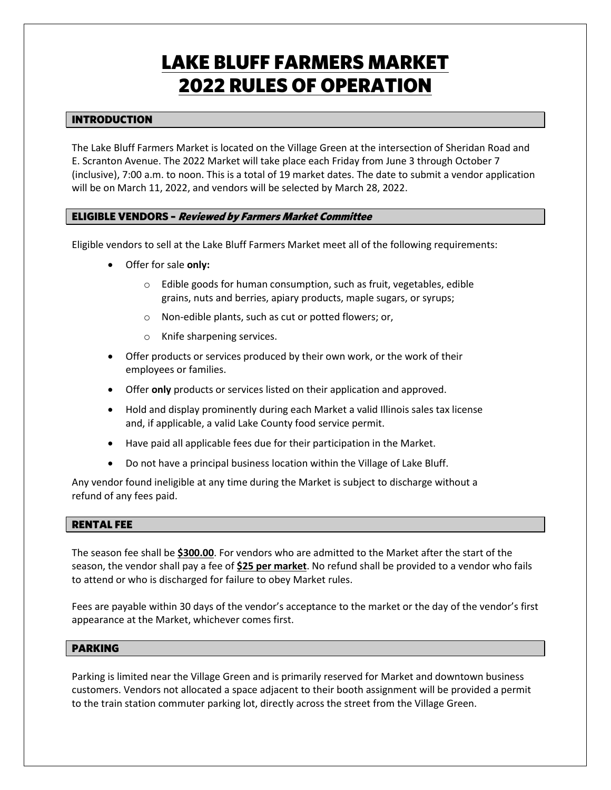# **LAKE BLUFF FARMERS MARKET<br>2022 RULES OF OPERATION** <u>2022 Rules of Operation Companion Companion Companion Companion Companion Companion Companion Companion Companion Companion Companion Companion Companion Companion Companion Companion Companion Companion Companion Compani</u>

### **INTRODUCTION** <u>International Control</u>

The Lake Bluff Farmers Market is located on the Village Green at the intersection of Sheridan Road and E. Scranton Avenue. The 2022 Market will take place each Friday from June 3 through October 7 (inclusive), 7:00 a.m. to noon. This is a total of 19 market dates. The date to submit a vendor application will be on March 11, 2022, and vendors will be selected by March 28, 2022.

### ELIGIBLE VENDORS – Reviewed by Farmers Market Committee

Eligible vendors to sell at the Lake Bluff Farmers Market meet all of the following requirements:

- Offer for sale **only:**
	- o Edible goods for human consumption, such as fruit, vegetables, edible grains, nuts and berries, apiary products, maple sugars, or syrups;
	- o Non-edible plants, such as cut or potted flowers; or,
	- o Knife sharpening services.
- Offer products or services produced by their own work, or the work of their employees or families.
- Offer **only** products or services listed on their application and approved.
- Hold and display prominently during each Market a valid Illinois sales tax license and, if applicable, a valid Lake County food service permit.
- Have paid all applicable fees due for their participation in the Market.
- Do not have a principal business location within the Village of Lake Bluff.

Any vendor found ineligible at any time during the Market is subject to discharge without a refund of any fees paid.

### **RENTAL FEE** <u>Rental Fee</u>

The season fee shall be **\$300.00**. For vendors who are admitted to the Market after the start of the season, the vendor shall pay a fee of **\$25 per market**. No refund shall be provided to a vendor who fails to attend or who is discharged for failure to obey Market rules.

Fees are payable within 30 days of the vendor's acceptance to the market or the day of the vendor's first appearance at the Market, whichever comes first.

## <u>Parameter</u>

Parking is limited near the Village Green and is primarily reserved for Market and downtown business customers. Vendors not allocated a space adjacent to their booth assignment will be provided a permit to the train station commuter parking lot, directly across the street from the Village Green.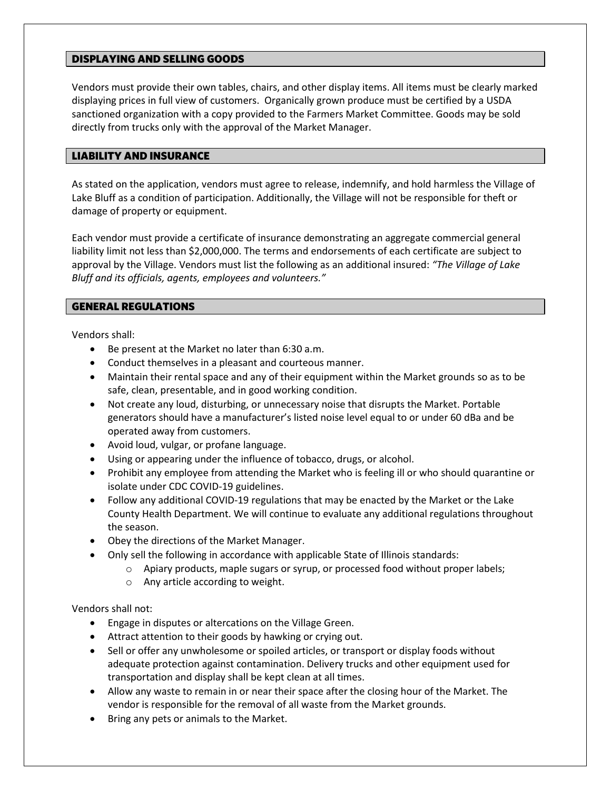#### **DISPLAYING AND SELLING GOODS** <u>Displaying and selection</u>

Vendors must provide their own tables, chairs, and other display items. All items must be clearly marked displaying prices in full view of customers. Organically grown produce must be certified by a USDA sanctioned organization with a copy provided to the Farmers Market Committee. Goods may be sold directly from trucks only with the approval of the Market Manager.

### LIABILITY AND INSURANCE

As stated on the application, vendors must agree to release, indemnify, and hold harmless the Village of Lake Bluff as a condition of participation. Additionally, the Village will not be responsible for theft or damage of property or equipment.

Each vendor must provide a certificate of insurance demonstrating an aggregate commercial general liability limit not less than \$2,000,000. The terms and endorsements of each certificate are subject to approval by the Village. Vendors must list the following as an additional insured: *"The Village of Lake Bluff and its officials, agents, employees and volunteers."* 

### **GENERAL REGULATIONS** GENERAL REGULATIONS

Vendors shall:

- Be present at the Market no later than 6:30 a.m.
- Conduct themselves in a pleasant and courteous manner.
- Maintain their rental space and any of their equipment within the Market grounds so as to be safe, clean, presentable, and in good working condition.
- Not create any loud, disturbing, or unnecessary noise that disrupts the Market. Portable generators should have a manufacturer's listed noise level equal to or under 60 dBa and be operated away from customers.
- Avoid loud, vulgar, or profane language.
- Using or appearing under the influence of tobacco, drugs, or alcohol.
- Prohibit any employee from attending the Market who is feeling ill or who should quarantine or isolate under CDC COVID-19 guidelines.
- Follow any additional COVID-19 regulations that may be enacted by the Market or the Lake County Health Department. We will continue to evaluate any additional regulations throughout the season.
- Obey the directions of the Market Manager.
- Only sell the following in accordance with applicable State of Illinois standards:
	- o Apiary products, maple sugars or syrup, or processed food without proper labels;
	- o Any article according to weight.

Vendors shall not:

- Engage in disputes or altercations on the Village Green.
- Attract attention to their goods by hawking or crying out.
- Sell or offer any unwholesome or spoiled articles, or transport or display foods without adequate protection against contamination. Delivery trucks and other equipment used for transportation and display shall be kept clean at all times.
- Allow any waste to remain in or near their space after the closing hour of the Market. The vendor is responsible for the removal of all waste from the Market grounds.
- Bring any pets or animals to the Market.